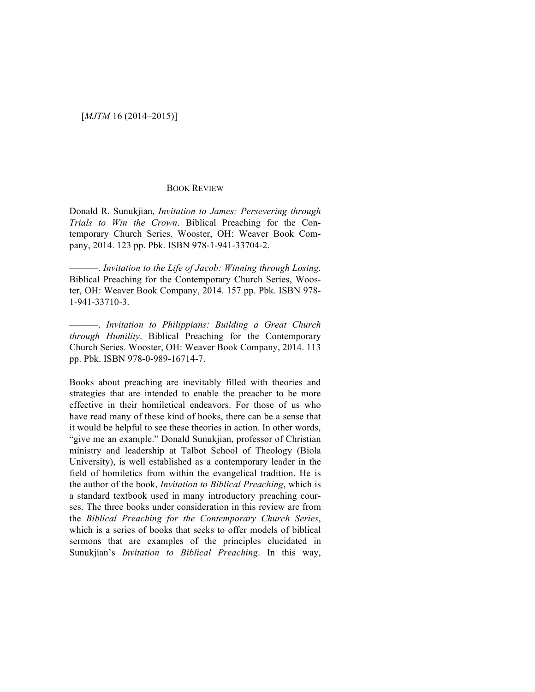## [*MJTM* 16 (2014–2015)]

## BOOK REVIEW

Donald R. Sunukjian, *Invitation to James: Persevering through Trials to Win the Crown*. Biblical Preaching for the Contemporary Church Series. Wooster, OH: Weaver Book Company, 2014. 123 pp. Pbk. ISBN 978-1-941-33704-2.

 $-$ . *Invitation to the Life of Jacob: Winning through Losing.* Biblical Preaching for the Contemporary Church Series, Wooster, OH: Weaver Book Company, 2014. 157 pp. Pbk. ISBN 978- 1-941-33710-3.

———. *Invitation to Philippians: Building a Great Church through Humility*. Biblical Preaching for the Contemporary Church Series. Wooster, OH: Weaver Book Company, 2014. 113 pp. Pbk. ISBN 978-0-989-16714-7.

Books about preaching are inevitably filled with theories and strategies that are intended to enable the preacher to be more effective in their homiletical endeavors. For those of us who have read many of these kind of books, there can be a sense that it would be helpful to see these theories in action. In other words, "give me an example." Donald Sunukjian, professor of Christian ministry and leadership at Talbot School of Theology (Biola University), is well established as a contemporary leader in the field of homiletics from within the evangelical tradition. He is the author of the book, *Invitation to Biblical Preaching*, which is a standard textbook used in many introductory preaching courses. The three books under consideration in this review are from the *Biblical Preaching for the Contemporary Church Series*, which is a series of books that seeks to offer models of biblical sermons that are examples of the principles elucidated in Sunukjian's *Invitation to Biblical Preaching*. In this way,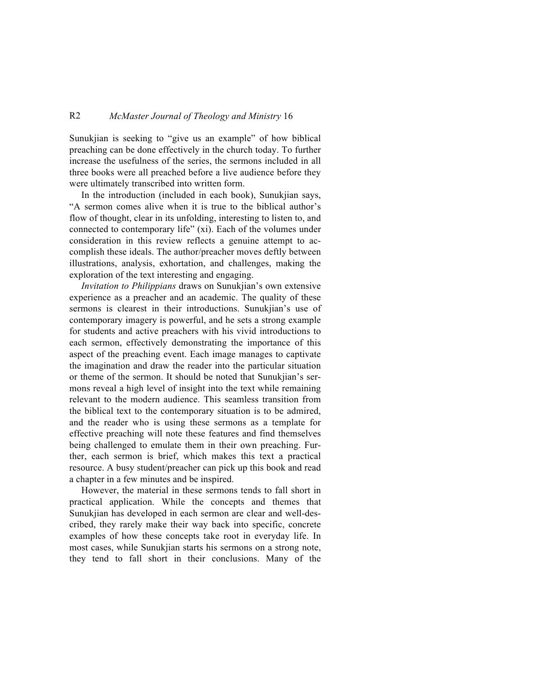## R2 *McMaster Journal of Theology and Ministry* 16

Sunukjian is seeking to "give us an example" of how biblical preaching can be done effectively in the church today. To further increase the usefulness of the series, the sermons included in all three books were all preached before a live audience before they were ultimately transcribed into written form.

In the introduction (included in each book), Sunukjian says, "A sermon comes alive when it is true to the biblical author's flow of thought, clear in its unfolding, interesting to listen to, and connected to contemporary life" (xi). Each of the volumes under consideration in this review reflects a genuine attempt to accomplish these ideals. The author/preacher moves deftly between illustrations, analysis, exhortation, and challenges, making the exploration of the text interesting and engaging.

*Invitation to Philippians* draws on Sunukjian's own extensive experience as a preacher and an academic. The quality of these sermons is clearest in their introductions. Sunukjian's use of contemporary imagery is powerful, and he sets a strong example for students and active preachers with his vivid introductions to each sermon, effectively demonstrating the importance of this aspect of the preaching event. Each image manages to captivate the imagination and draw the reader into the particular situation or theme of the sermon. It should be noted that Sunukjian's sermons reveal a high level of insight into the text while remaining relevant to the modern audience. This seamless transition from the biblical text to the contemporary situation is to be admired, and the reader who is using these sermons as a template for effective preaching will note these features and find themselves being challenged to emulate them in their own preaching. Further, each sermon is brief, which makes this text a practical resource. A busy student/preacher can pick up this book and read a chapter in a few minutes and be inspired.

However, the material in these sermons tends to fall short in practical application. While the concepts and themes that Sunukjian has developed in each sermon are clear and well-described, they rarely make their way back into specific, concrete examples of how these concepts take root in everyday life. In most cases, while Sunukjian starts his sermons on a strong note, they tend to fall short in their conclusions. Many of the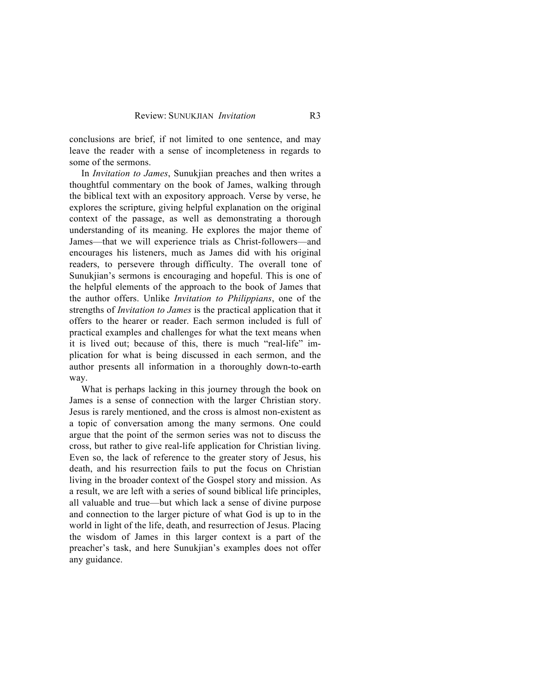conclusions are brief, if not limited to one sentence, and may leave the reader with a sense of incompleteness in regards to some of the sermons.

In *Invitation to James*, Sunukjian preaches and then writes a thoughtful commentary on the book of James, walking through the biblical text with an expository approach. Verse by verse, he explores the scripture, giving helpful explanation on the original context of the passage, as well as demonstrating a thorough understanding of its meaning. He explores the major theme of James—that we will experience trials as Christ-followers—and encourages his listeners, much as James did with his original readers, to persevere through difficulty. The overall tone of Sunukjian's sermons is encouraging and hopeful. This is one of the helpful elements of the approach to the book of James that the author offers. Unlike *Invitation to Philippians*, one of the strengths of *Invitation to James* is the practical application that it offers to the hearer or reader. Each sermon included is full of practical examples and challenges for what the text means when it is lived out; because of this, there is much "real-life" implication for what is being discussed in each sermon, and the author presents all information in a thoroughly down-to-earth way.

What is perhaps lacking in this journey through the book on James is a sense of connection with the larger Christian story. Jesus is rarely mentioned, and the cross is almost non-existent as a topic of conversation among the many sermons. One could argue that the point of the sermon series was not to discuss the cross, but rather to give real-life application for Christian living. Even so, the lack of reference to the greater story of Jesus, his death, and his resurrection fails to put the focus on Christian living in the broader context of the Gospel story and mission. As a result, we are left with a series of sound biblical life principles, all valuable and true—but which lack a sense of divine purpose and connection to the larger picture of what God is up to in the world in light of the life, death, and resurrection of Jesus. Placing the wisdom of James in this larger context is a part of the preacher's task, and here Sunukjian's examples does not offer any guidance.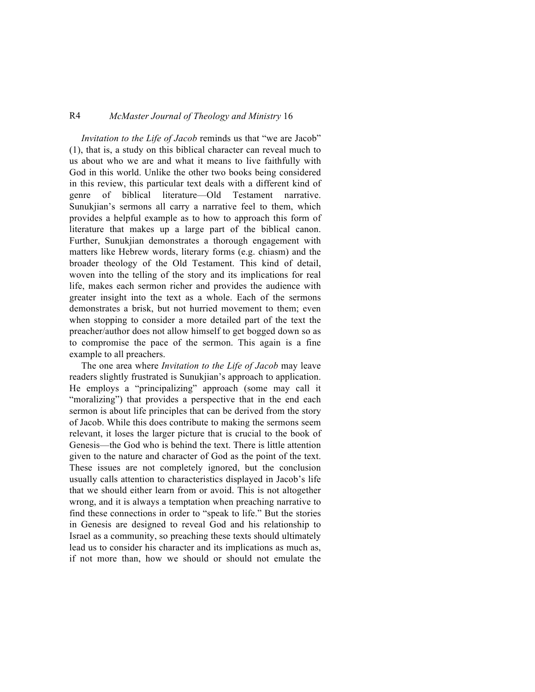## R4 *McMaster Journal of Theology and Ministry* 16

*Invitation to the Life of Jacob* reminds us that "we are Jacob" (1), that is, a study on this biblical character can reveal much to us about who we are and what it means to live faithfully with God in this world. Unlike the other two books being considered in this review, this particular text deals with a different kind of genre of biblical literature—Old Testament narrative. Sunukjian's sermons all carry a narrative feel to them, which provides a helpful example as to how to approach this form of literature that makes up a large part of the biblical canon. Further, Sunukjian demonstrates a thorough engagement with matters like Hebrew words, literary forms (e.g. chiasm) and the broader theology of the Old Testament. This kind of detail, woven into the telling of the story and its implications for real life, makes each sermon richer and provides the audience with greater insight into the text as a whole. Each of the sermons demonstrates a brisk, but not hurried movement to them; even when stopping to consider a more detailed part of the text the preacher/author does not allow himself to get bogged down so as to compromise the pace of the sermon. This again is a fine example to all preachers.

The one area where *Invitation to the Life of Jacob* may leave readers slightly frustrated is Sunukjian's approach to application. He employs a "principalizing" approach (some may call it "moralizing") that provides a perspective that in the end each sermon is about life principles that can be derived from the story of Jacob. While this does contribute to making the sermons seem relevant, it loses the larger picture that is crucial to the book of Genesis—the God who is behind the text. There is little attention given to the nature and character of God as the point of the text. These issues are not completely ignored, but the conclusion usually calls attention to characteristics displayed in Jacob's life that we should either learn from or avoid. This is not altogether wrong, and it is always a temptation when preaching narrative to find these connections in order to "speak to life." But the stories in Genesis are designed to reveal God and his relationship to Israel as a community, so preaching these texts should ultimately lead us to consider his character and its implications as much as, if not more than, how we should or should not emulate the